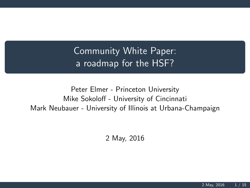Community White Paper: a roadmap for the HSF?

Peter Elmer - Princeton University Mike Sokoloff - University of Cincinnati Mark Neubauer - University of Illinois at Urbana-Champaign

2 May, 2016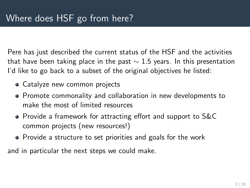Pere has just described the current status of the HSF and the activities that have been taking place in the past  $\sim$  1.5 years. In this presentation I'd like to go back to a subset of the original objectives he listed:

- Catalyze new common projects
- Promote commonality and collaboration in new developments to make the most of limited resources
- Provide a framework for attracting effort and support to S&C common projects (new resources!)
- Provide a structure to set priorities and goals for the work

and in particular the next steps we could make.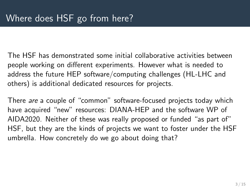The HSF has demonstrated some initial collaborative activities between people working on different experiments. However what is needed to address the future HEP software/computing challenges (HL-LHC and others) is additional dedicated resources for projects.

There are a couple of "common" software-focused projects today which have acquired "new" resources: DIANA-HEP and the software WP of AIDA2020. Neither of these was really proposed or funded "as part of" HSF, but they are the kinds of projects we want to foster under the HSF umbrella. How concretely do we go about doing that?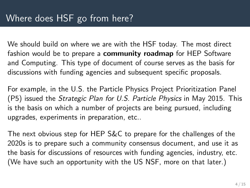We should build on where we are with the HSF today. The most direct fashion would be to prepare a **community roadmap** for HEP Software and Computing. This type of document of course serves as the basis for discussions with funding agencies and subsequent specific proposals.

For example, in the U.S. the Particle Physics Project Prioritization Panel (P5) issued the Strategic Plan for U.S. Particle Physics in May 2015. This is the basis on which a number of projects are being pursued, including upgrades, experiments in preparation, etc..

The next obvious step for HEP S&C to prepare for the challenges of the 2020s is to prepare such a community consensus document, and use it as the basis for discussions of resources with funding agencies, industry, etc. (We have such an opportunity with the US NSF, more on that later.)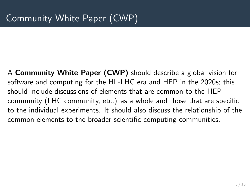A Community White Paper (CWP) should describe a global vision for software and computing for the HL-LHC era and HEP in the 2020s; this should include discussions of elements that are common to the HEP community (LHC community, etc.) as a whole and those that are specific to the individual experiments. It should also discuss the relationship of the common elements to the broader scientific computing communities.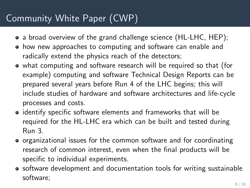## Community White Paper (CWP)

- a broad overview of the grand challenge science (HL-LHC, HEP);
- how new approaches to computing and software can enable and radically extend the physics reach of the detectors;
- what computing and software research will be required so that (for example) computing and software Technical Design Reports can be prepared several years before Run 4 of the LHC begins; this will include studies of hardware and software architectures and life-cycle processes and costs.
- identify specific software elements and frameworks that will be required for the HL-LHC era which can be built and tested during Run 3.
- organizational issues for the common software and for coordinating research of common interest, even when the final products will be specific to individual experiments.
- software development and documentation tools for writing sustainable software;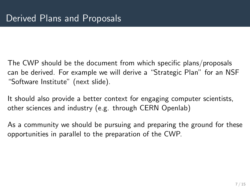The CWP should be the document from which specific plans/proposals can be derived. For example we will derive a "Strategic Plan" for an NSF "Software Institute" (next slide).

It should also provide a better context for engaging computer scientists, other sciences and industry (e.g. through CERN Openlab)

As a community we should be pursuing and preparing the ground for these opportunities in parallel to the preparation of the CWP.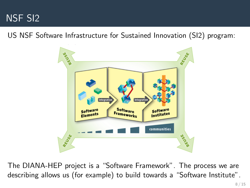

US NSF Software Infrastructure for Sustained Innovation (SI2) program:



The DIANA-HEP project is a "Software Framework". The process we are describing allows us (for example) to build towards a "Software Institute".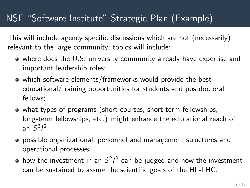## NSF "Software Institute" Strategic Plan (Example)

This will include agency specific discussions which are not (necessarily) relevant to the large community; topics will include:

- where does the U.S. university community already have expertise and important leadership roles;
- which software elements/frameworks would provide the best educational/training opportunities for students and postdoctoral fellows;
- what types of programs (short courses, short-term fellowships, long-term fellowships, etc.) might enhance the educational reach of an  $S^2l^2$ ;
- possible organizational, personnel and management structures and operational processes;
- how the investment in an  $S^2I^2$  can be judged and how the investment can be sustained to assure the scientific goals of the HL-LHC.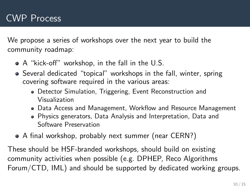We propose a series of workshops over the next year to build the community roadmap:

- A "kick-off" workshop, in the fall in the U.S.
- Several dedicated "topical" workshops in the fall, winter, spring covering software required in the various areas:
	- Detector Simulation, Triggering, Event Reconstruction and Visualization
	- Data Access and Management, Workflow and Resource Management
	- Physics generators, Data Analysis and Interpretation, Data and Software Preservation
- A final workshop, probably next summer (near CERN?)

These should be HSF-branded workshops, should build on existing community activities when possible (e.g. DPHEP, Reco Algorithms Forum/CTD, IML) and should be supported by dedicated working groups.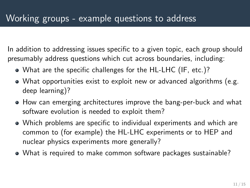In addition to addressing issues specific to a given topic, each group should presumably address questions which cut across boundaries, including:

- What are the specific challenges for the HL-LHC (IF, etc.)?
- What opportunities exist to exploit new or advanced algorithms (e.g. deep learning)?
- How can emerging architectures improve the bang-per-buck and what software evolution is needed to exploit them?
- Which problems are specific to individual experiments and which are common to (for example) the HL-LHC experiments or to HEP and nuclear physics experiments more generally?
- What is required to make common software packages sustainable?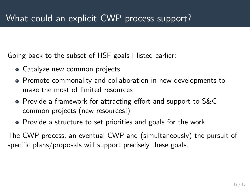Going back to the subset of HSF goals I listed earlier:

- Catalyze new common projects
- Promote commonality and collaboration in new developments to make the most of limited resources
- Provide a framework for attracting effort and support to S&C common projects (new resources!)
- Provide a structure to set priorities and goals for the work

The CWP process, an eventual CWP and (simultaneously) the pursuit of specific plans/proposals will support precisely these goals.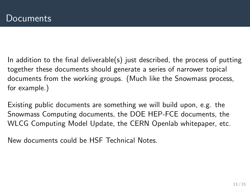In addition to the final deliverable(s) just described, the process of putting together these documents should generate a series of narrower topical documents from the working groups. (Much like the Snowmass process, for example.)

Existing public documents are something we will build upon, e.g. the Snowmass Computing documents, the DOE HEP-FCE documents, the WLCG Computing Model Update, the CERN Openlab whitepaper, etc.

New documents could be HSF Technical Notes.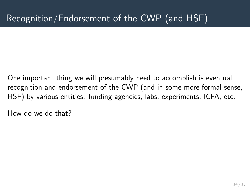One important thing we will presumably need to accomplish is eventual recognition and endorsement of the CWP (and in some more formal sense, HSF) by various entities: funding agencies, labs, experiments, ICFA, etc.

How do we do that?